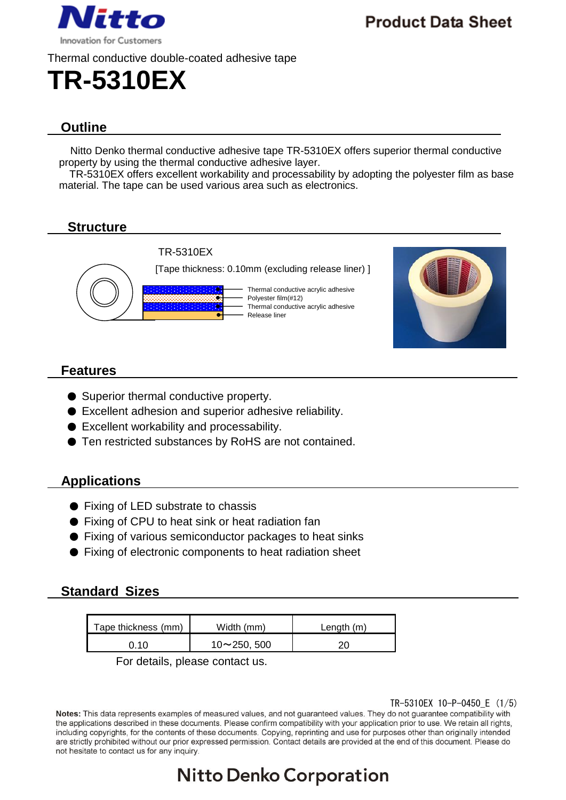

**Product Data Sheet** 

## **Outline**

Nitto Denko thermal conductive adhesive tape TR-5310EX offers superior thermal conductive property by using the thermal conductive adhesive layer.

TR-5310EX offers excellent workability and processability by adopting the polyester film as base material. The tape can be used various area such as electronics.

### **Structure**



### **Features**

- Superior thermal conductive property.
- Excellent adhesion and superior adhesive reliability.
- Excellent workability and processability.
- Ten restricted substances by RoHS are not contained.

### **Applications**

- Fixing of LED substrate to chassis
- Fixing of CPU to heat sink or heat radiation fan
- Fixing of various semiconductor packages to heat sinks
- Fixing of electronic components to heat radiation sheet

### **Standard Sizes**

| Tape thickness (mm) | Width (mm)         | Length (m) |
|---------------------|--------------------|------------|
| ി ∩                 | $10 \sim 250, 500$ |            |

For details, please contact us.

### TR-5310EX 10-P-0450\_E (1/5)

Notes: This data represents examples of measured values, and not guaranteed values. They do not guarantee compatibility with the applications described in these documents. Please confirm compatibility with your application prior to use. We retain all rights, including copyrights, for the contents of these documents. Copying, reprinting and use for purposes other than originally intended are strictly prohibited without our prior expressed permission. Contact details are provided at the end of this document. Please do not hesitate to contact us for any inquiry.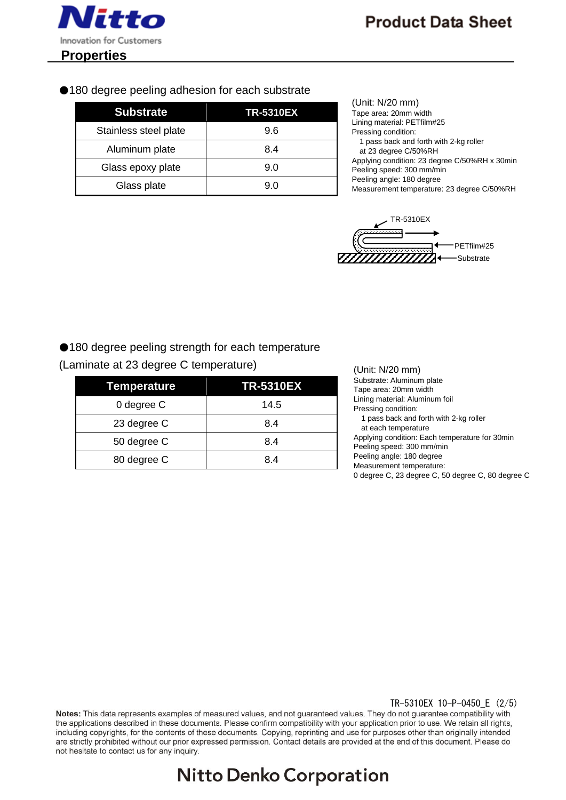

●180 degree peeling adhesion for each substrate

| <b>Substrate</b>      | <b>TR-5310EX</b> |
|-----------------------|------------------|
| Stainless steel plate | 9.6              |
| Aluminum plate        | 8.4              |
| Glass epoxy plate     | 9.0              |
| Glass plate           | 9.0              |

| (Unit: N/20 mm)                               |
|-----------------------------------------------|
| Tape area: 20mm width                         |
| Lining material: PETfilm#25                   |
| Pressing condition:                           |
| 1 pass back and forth with 2-kg roller        |
| at 23 degree C/50%RH                          |
| Applying condition: 23 degree C/50%RH x 30min |
| Peeling speed: 300 mm/min                     |
| Peeling angle: 180 degree                     |
| Measurement temperature: 23 degree C/50%RH    |



### ●180 degree peeling strength for each temperature

(Laminate at 23 degree C temperature)

| Temperature | <b>TR-5310EX</b> |
|-------------|------------------|
| 0 degree C  | 14.5             |
| 23 degree C | 8.4              |
| 50 degree C | 8.4              |
| 80 degree C | 8.4              |

(Unit: N/20 mm) Substrate: Aluminum plate Tape area: 20mm width Lining material: Aluminum foil Pressing condition: 1 pass back and forth with 2-kg roller at each temperature Applying condition: Each temperature for 30min Peeling speed: 300 mm/min Peeling angle: 180 degree Measurement temperature: 0 degree C, 23 degree C, 50 degree C, 80 degree C

### TR-5310EX 10-P-0450\_E (2/5)

Notes: This data represents examples of measured values, and not guaranteed values. They do not guarantee compatibility with the applications described in these documents. Please confirm compatibility with your application prior to use. We retain all rights, including copyrights, for the contents of these documents. Copying, reprinting and use for purposes other than originally intended are strictly prohibited without our prior expressed permission. Contact details are provided at the end of this document. Please do not hesitate to contact us for any inquiry.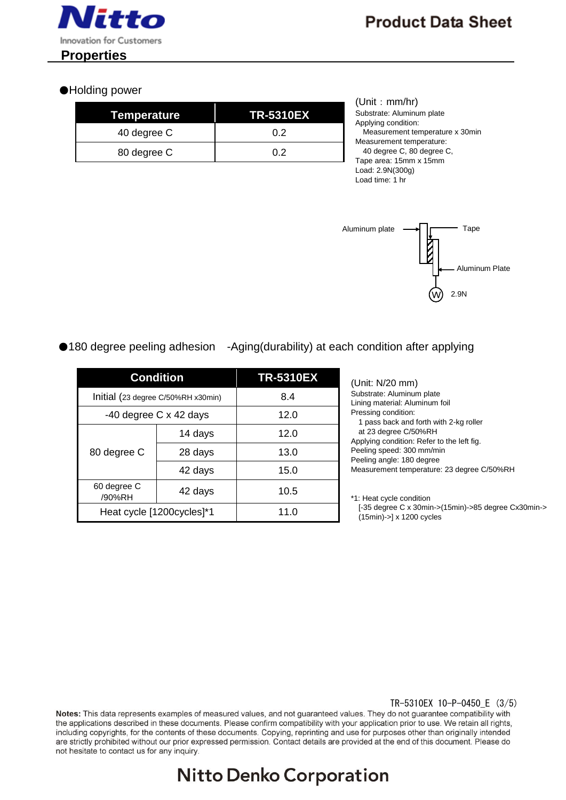

### ●Holding power

| Temperature | <b>TR-5310EX</b> |
|-------------|------------------|
| 40 degree C | 0 2              |
| 80 degree C | 0 2              |

(Unit: mm/hr) Substrate: Aluminum plate Applying condition: Measurement temperature x 30min Measurement temperature: 40 degree C, 80 degree C, Tape area: 15mm x 15mm Load: 2.9N(300g) Load time: 1 hr



### ●180 degree peeling adhesion -Aging(durability) at each condition after applying

| <b>Condition</b>                   |         | <b>TR-5310EX</b> |
|------------------------------------|---------|------------------|
| Initial (23 degree C/50%RH x30min) |         | 8.4              |
| -40 degree C x 42 days             |         | 12.0             |
| 80 degree C                        | 14 days | 12.0             |
|                                    | 28 days | 13.0             |
|                                    | 42 days | 15.0             |
| 60 degree C<br>/90%RH              | 42 days | 10.5             |
| Heat cycle [1200cycles]*1          |         | 11.0             |

(Unit: N/20 mm) Substrate: Aluminum plate Lining material: Aluminum foil Pressing condition: 1 pass back and forth with 2-kg roller at 23 degree C/50%RH Applying condition: Refer to the left fig. Peeling speed: 300 mm/min Peeling angle: 180 degree Measurement temperature: 23 degree C/50%RH

\*1: Heat cycle condition [-35 degree C x 30min->(15min)->85 degree Cx30min-> (15min)->] x 1200 cycles

### TR-5310EX 10-P-0450\_E (3/5)

Notes: This data represents examples of measured values, and not guaranteed values. They do not guarantee compatibility with the applications described in these documents. Please confirm compatibility with your application prior to use. We retain all rights, including copyrights, for the contents of these documents. Copying, reprinting and use for purposes other than originally intended are strictly prohibited without our prior expressed permission. Contact details are provided at the end of this document. Please do not hesitate to contact us for any inquiry.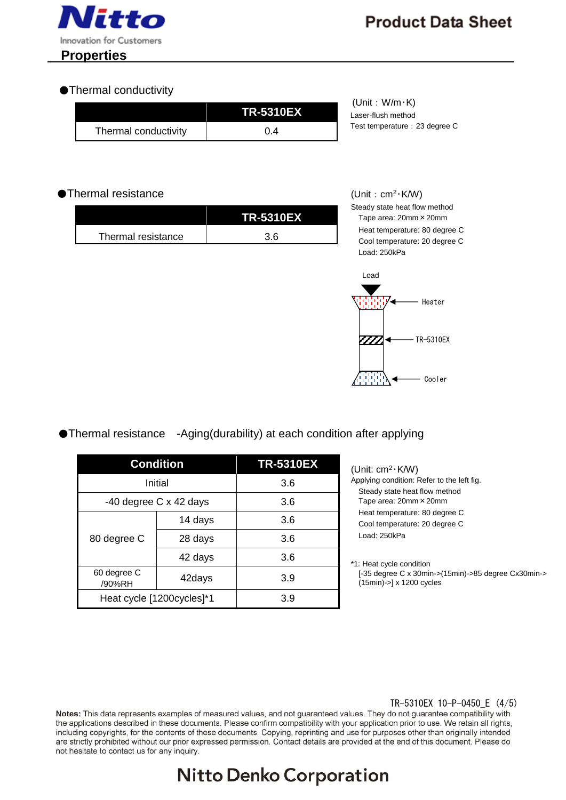

### ●Thermal conductivity

|                      | <b>TR-5310EX</b> | (Unit:<br>Laser-flu |
|----------------------|------------------|---------------------|
| Thermal conductivity | 0.4              | Test tem            |

 $W/m·K$ sh method perature: 23 degree C

### ●Thermal resistance

|                    | <b>TR-5310EX</b> |
|--------------------|------------------|
| Thermal resistance | 3 6              |

(Unit:  $cm<sup>2</sup>·K/W$ ) Steady state heat flow method Tape area: 20mm×20mm Heat temperature: 80 degree C Cool temperature: 20 degree C Load: 250kPa



### ●Thermal resistance -Aging(durability) at each condition after applying

| <b>Condition</b>          |                        | <b>TR-5310EX</b> |
|---------------------------|------------------------|------------------|
| Initial                   |                        | 3.6              |
|                           | -40 degree C x 42 days | 3.6              |
| 80 degree C               | 14 days                | 3.6              |
|                           | 28 days                | 3.6              |
|                           | 42 days                | 3.6              |
| 60 degree C<br>/90%RH     | 42days                 | 3.9              |
| Heat cycle [1200cycles]*1 |                        | 3.9              |

(Unit: cm<sup>2</sup>・K/W) Applying condition: Refer to the left fig. Steady state heat flow method Tape area: 20mm×20mm Heat temperature: 80 degree C Cool temperature: 20 degree C Load: 250kPa

\*1: Heat cycle condition [-35 degree C x 30min->(15min)->85 degree Cx30min-> (15min)->] x 1200 cycles

### TR-5310EX 10-P-0450\_E (4/5)

Notes: This data represents examples of measured values, and not guaranteed values. They do not guarantee compatibility with the applications described in these documents. Please confirm compatibility with your application prior to use. We retain all rights, including copyrights, for the contents of these documents. Copying, reprinting and use for purposes other than originally intended are strictly prohibited without our prior expressed permission. Contact details are provided at the end of this document. Please do not hesitate to contact us for any inquiry.